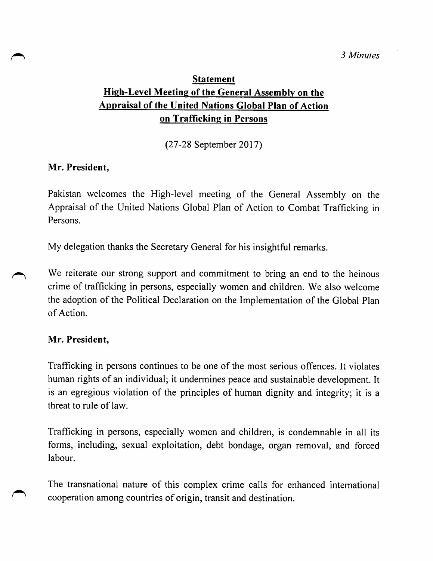# **Statement** High-Level Meeting of the General Assembly on the Appraisal of the United Nations Global Plan of Action on Trafficking in Persons

(27-28 September 2017)

## Mr. President,

Pakistan welcomes the High-level meeting of the General Assembly on the Appraisal of the United Nations Global Plan of Action to Combat Trafficking in Persons.

My delegation thanks the Secretary General for his insightful remarks.

We reiterate our strong support and commitment to bring an end to the heinous crime of trafficking in persons, especially women and children. We also welcome the adoption of the Political Declaration on the Implementation of the Global Plan of Action.

## Mr. President,

Trafficking in persons continues to be one of the most serious offences. It violates human rights of an individual; it undermines peace and sustainable development. It is an egregious violation of the principles of human dignity and integrity; it is a threat to rule of law.

Trafficking in persons, especially women and children, is condemnable in all its forms, including, sexual exploitation, debt bondage, organ removal, and forced labour.

The transnational nature of this complex crime calls for enhanced international cooperation among countries of origin, transit and destination.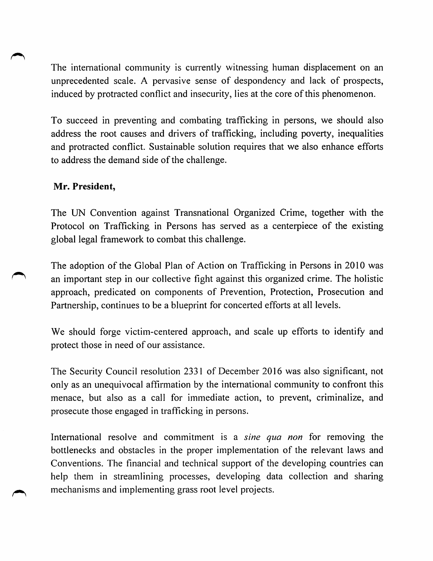The international community is currently witnessing human displacement on an unprecedented scale. A pervasive sense of despondency and lack of prospects, induced by protracted conflict and insecurity, lies at the core of this phenomenon.

To succeed in preventing and combating trafficking in persons, we should also address the root causes and drivers of trafficking, including poverty, inequalities and protracted conflict. Sustainable solution requires that we also enhance efforts to address the demand side of the challenge.

## Mr. President,

The UN Convention against Transnational Organized Crime, together with the Protocol on Trafficking in Persons has served as a centerpiece of the existing global legal framework to combat this challenge.

The adoption of the Global Plan of Action on Trafficking in Persons in 2010 was an important step in our collective fight against this organized crime. The holistic approach, predicated on components of Prevention, Protection, Prosecution and Partnership, continues to be a blueprint for concerted efforts at all levels.

We should forge victim-centered approach, and scale up efforts to identify and protect those in need of our assistance.

The Security Council resolution 2331 of December 2016 was also significant, not only as an unequivocal affirmation by the international community to confront this menace, but also as a call for immediate action, to prevent, criminalize, and prosecute those engaged in trafficking in persons.

International resolve and commitment is a sine qua non for removing the bottlenecks and obstacles in the proper implementation of the relevant laws and Conventions. The financial and technical support of the developing countries can help them in streamlining processes, developing data collection and sharing mechanisms and implementing grass root level projects.